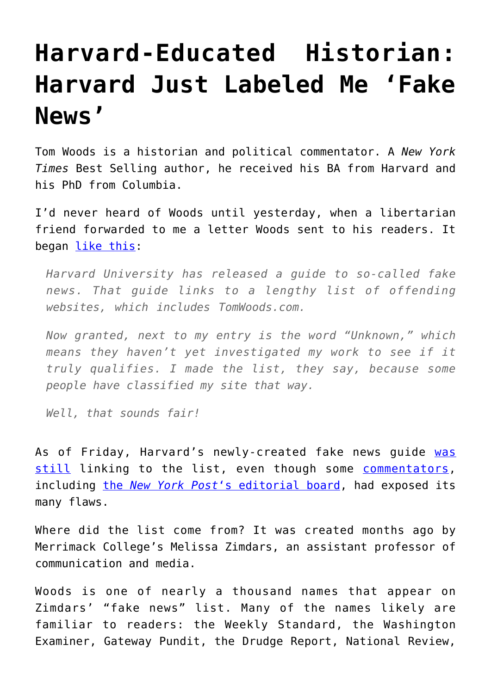## **[Harvard-Educated Historian:](https://intellectualtakeout.org/2017/03/harvard-educated-historian-harvard-just-labeled-me-fake-news/) [Harvard Just Labeled Me 'Fake](https://intellectualtakeout.org/2017/03/harvard-educated-historian-harvard-just-labeled-me-fake-news/) [News'](https://intellectualtakeout.org/2017/03/harvard-educated-historian-harvard-just-labeled-me-fake-news/)**

Tom Woods is a historian and political commentator. A *New York Times* Best Selling author, he received his BA from Harvard and his PhD from Columbia.

I'd never heard of Woods until yesterday, when a libertarian friend forwarded to me a letter Woods sent to his readers. It began [like this](http://tomwoods.com/is-harvard-calling-me-fake-news/):

*Harvard University has released a guide to so-called fake news. That guide links to a lengthy list of offending websites, which includes TomWoods.com.*

*Now granted, next to my entry is the word "Unknown," which means they haven't yet investigated my work to see if it truly qualifies. I made the list, they say, because some people have classified my site that way.*

*Well, that sounds fair!*

As of Friday, Harvard's newly-created fake news quide [was](http://guides.library.harvard.edu/fake) [still](http://guides.library.harvard.edu/fake) linking to the list, even though some [commentators,](http://www.nationalreview.com/article/445768/harvard-fake-news-guide-proves-leftist-media-bias) including [the](http://nypost.com/2017/03/14/harvards-phony-guide-to-fake-news/) *[New York Post](http://nypost.com/2017/03/14/harvards-phony-guide-to-fake-news/)*['s editorial board,](http://nypost.com/2017/03/14/harvards-phony-guide-to-fake-news/) had exposed its many flaws.

Where did the list come from? It was created months ago by Merrimack College's Melissa Zimdars, an assistant professor of communication and media.

Woods is one of nearly a thousand names that appear on Zimdars' "fake news" list. Many of the names likely are familiar to readers: the Weekly Standard, the Washington Examiner, Gateway Pundit, the Drudge Report, National Review,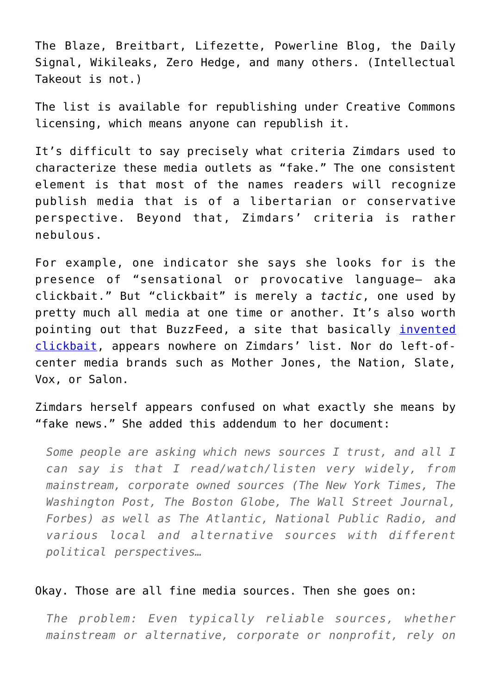The Blaze, Breitbart, Lifezette, Powerline Blog, the Daily Signal, Wikileaks, Zero Hedge, and many others. (Intellectual Takeout is not.)

The list is available for republishing under Creative Commons licensing, which means anyone can republish it.

It's difficult to say precisely what criteria Zimdars used to characterize these media outlets as "fake." The one consistent element is that most of the names readers will recognize publish media that is of a libertarian or conservative perspective. Beyond that, Zimdars' criteria is rather nebulous.

For example, one indicator she says she looks for is the presence of "sensational or provocative language– aka clickbait." But "clickbait" is merely a *tactic*, one used by pretty much all media at one time or another. It's also worth pointing out that BuzzFeed, a site that basically [invented](https://www.theatlantic.com/entertainment/archive/2014/11/clickbait-what-is/382545/) [clickbait](https://www.theatlantic.com/entertainment/archive/2014/11/clickbait-what-is/382545/), appears nowhere on Zimdars' list. Nor do left-ofcenter media brands such as Mother Jones, the Nation, Slate, Vox, or Salon.

Zimdars herself appears confused on what exactly she means by "fake news." She added this addendum to her document:

*Some people are asking which news sources I trust, and all I can say is that I read/watch/listen very widely, from mainstream, corporate owned sources (The New York Times, The Washington Post, The Boston Globe, The Wall Street Journal, Forbes) as well as The Atlantic, National Public Radio, and various local and alternative sources with different political perspectives…*

## Okay. Those are all fine media sources. Then she goes on:

*The problem: Even typically reliable sources, whether mainstream or alternative, corporate or nonprofit, rely on*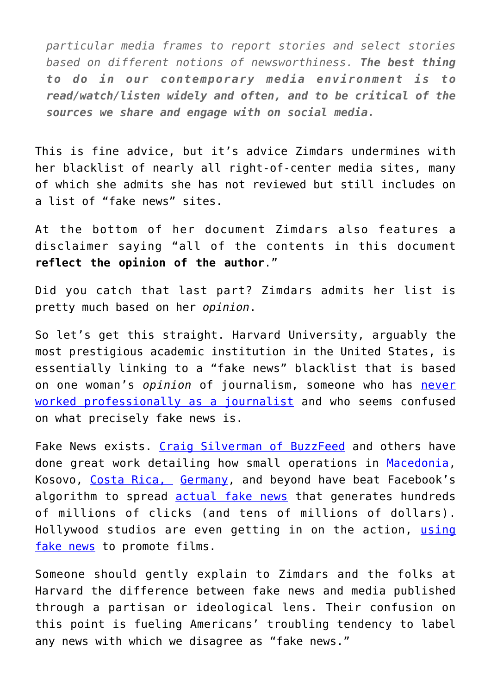*particular media frames to report stories and select stories based on different notions of newsworthiness. The best thing to do in our contemporary media environment is to read/watch/listen widely and often, and to be critical of the sources we share and engage with on social media.*

This is fine advice, but it's advice Zimdars undermines with her blacklist of nearly all right-of-center media sites, many of which she admits she has not reviewed but still includes on a list of "fake news" sites.

At the bottom of her document Zimdars also features a disclaimer saying "all of the contents in this document **reflect the opinion of the author**."

Did you catch that last part? Zimdars admits her list is pretty much based on her *opinion*.

So let's get this straight. Harvard University, arguably the most prestigious academic institution in the United States, is essentially linking to a "fake news" blacklist that is based on one woman's *opinion* of journalism, someone who has [never](http://www.merrimack.edu/live/profiles/586-melissa-mish-zimdars) [worked professionally as a journalist](http://www.merrimack.edu/live/profiles/586-melissa-mish-zimdars) and who seems confused on what precisely fake news is.

Fake News exists. [Craig Silverman of BuzzFeed](https://www.buzzfeed.com/craigsilverman?language=en) and others have done great work detailing how small operations in [Macedonia,](https://www.buzzfeed.com/craigsilverman/fake-news-turf-war?utm_term=.pqn4ooWyw#.hh4jOOxyd) Kosovo, [Costa Rica,](https://www.buzzfeed.com/craigsilverman/this-website-just-showed-its-still-super-easy-is-to-get-traf?utm_term=.coVVeeR3X#.kxwoggWjy) [Germany,](https://www.buzzfeed.com/craigsilverman/facebook-expanding-program-to-fight-fake-news-to-germany?utm_term=.rtEkvvJ3w#.amrdvv9Oz) and beyond have beat Facebook's algorithm to spread **[actual fake news](http://archive.is/RV2Ix)** that generates hundreds of millions of clicks (and tens of millions of dollars). Hollywood studios are even getting in on the action, [using](https://www.buzzfeed.com/craigsilverman/a-hollywood-film-is-funding-fake-news?utm_term=.rxGLPPrXN#.vjrAGGnyO) [fake news](https://www.buzzfeed.com/craigsilverman/a-hollywood-film-is-funding-fake-news?utm_term=.rxGLPPrXN#.vjrAGGnyO) to promote films.

Someone should gently explain to Zimdars and the folks at Harvard the difference between fake news and media published through a partisan or ideological lens. Their confusion on this point is fueling Americans' troubling tendency to label any news with which we disagree as "fake news."